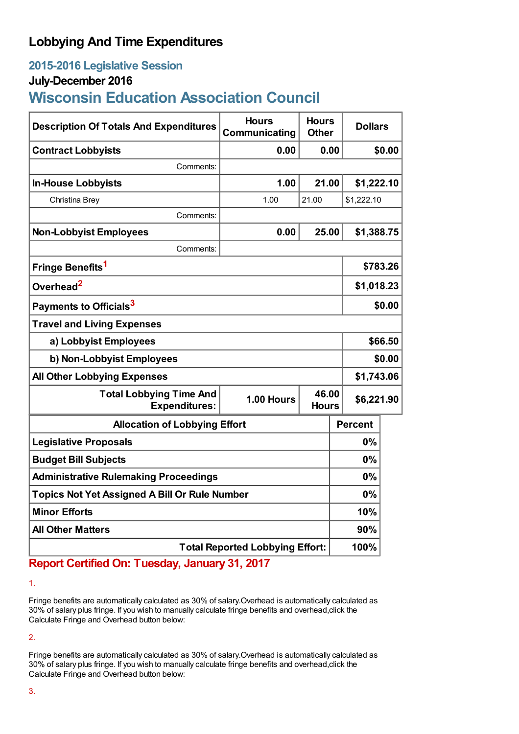## **Lobbying And Time Expenditures**

## **2015-2016 Legislative Session**

## **July-December 2016**

# **Wisconsin Education Association Council**

| <b>Description Of Totals And Expenditures</b>          | <b>Hours</b><br>Communicating | <b>Hours</b><br><b>Other</b> | <b>Dollars</b> |            |  |
|--------------------------------------------------------|-------------------------------|------------------------------|----------------|------------|--|
| <b>Contract Lobbyists</b>                              | 0.00                          | 0.00                         |                | \$0.00     |  |
| Comments:                                              |                               |                              |                |            |  |
| <b>In-House Lobbyists</b>                              | 1.00                          | 21.00                        | \$1,222.10     |            |  |
| Christina Brey                                         | 1.00                          | 21.00                        | \$1,222.10     |            |  |
| Comments:                                              |                               |                              |                |            |  |
| <b>Non-Lobbyist Employees</b>                          | 0.00                          | 25.00                        | \$1,388.75     |            |  |
| Comments:                                              |                               |                              |                |            |  |
| Fringe Benefits <sup>1</sup>                           |                               |                              |                | \$783.26   |  |
| Overhead <sup>2</sup>                                  |                               |                              |                | \$1,018.23 |  |
| Payments to Officials <sup>3</sup>                     |                               |                              |                | \$0.00     |  |
| <b>Travel and Living Expenses</b>                      |                               |                              |                |            |  |
| a) Lobbyist Employees                                  |                               |                              |                | \$66.50    |  |
| b) Non-Lobbyist Employees                              |                               |                              |                | \$0.00     |  |
| <b>All Other Lobbying Expenses</b>                     |                               |                              |                | \$1,743.06 |  |
| <b>Total Lobbying Time And</b><br><b>Expenditures:</b> | 1.00 Hours                    | 46.00<br><b>Hours</b>        |                | \$6,221.90 |  |
| <b>Allocation of Lobbying Effort</b>                   |                               |                              | <b>Percent</b> |            |  |
| <b>Legislative Proposals</b>                           |                               |                              | 0%             |            |  |
| <b>Budget Bill Subjects</b>                            |                               |                              | $0\%$          |            |  |
| <b>Administrative Rulemaking Proceedings</b>           |                               |                              | 0%             |            |  |
| <b>Topics Not Yet Assigned A Bill Or Rule Number</b>   |                               |                              | 0%             |            |  |
| <b>Minor Efforts</b>                                   |                               |                              | 10%            |            |  |
| <b>All Other Matters</b>                               |                               |                              | 90%            |            |  |
| <b>Total Reported Lobbying Effort:</b>                 |                               |                              | 100%           |            |  |

## **Report Certified On: Tuesday, January 31, 2017**

1.

Fringe benefits are automatically calculated as 30% of salary.Overhead is automatically calculated as 30% of salary plus fringe. If you wish to manually calculate fringe benefits and overhead,click the Calculate Fringe and Overhead button below:

2.

Fringe benefits are automatically calculated as 30% of salary.Overhead is automatically calculated as 30% of salary plus fringe. If you wish to manually calculate fringe benefits and overhead,click the Calculate Fringe and Overhead button below: